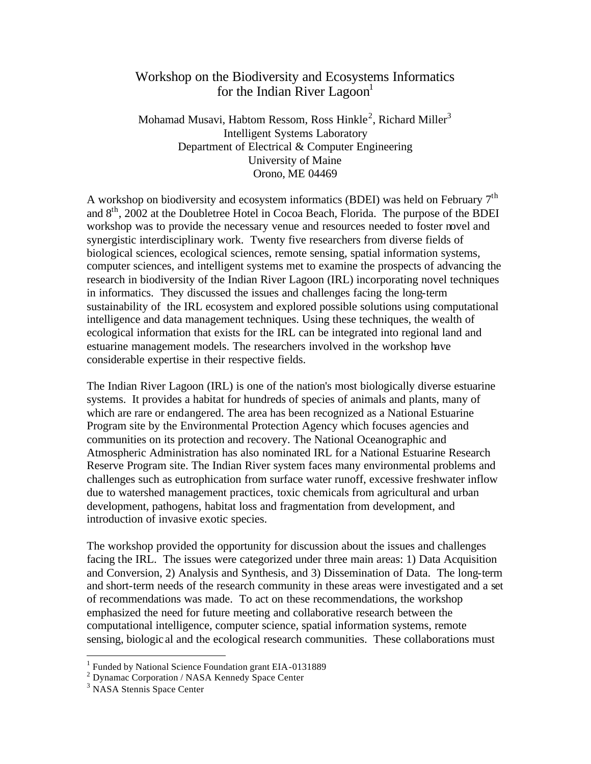## Workshop on the Biodiversity and Ecosystems Informatics for the Indian River Lagoon<sup>1</sup>

Mohamad Musavi, Habtom Ressom, Ross Hinkle $^2$ , Richard Miller $^3$ Intelligent Systems Laboratory Department of Electrical & Computer Engineering University of Maine Orono, ME 04469

A workshop on biodiversity and ecosystem informatics (BDEI) was held on February 7th and  $8<sup>th</sup>$ , 2002 at the Doubletree Hotel in Cocoa Beach, Florida. The purpose of the BDEI workshop was to provide the necessary venue and resources needed to foster novel and synergistic interdisciplinary work. Twenty five researchers from diverse fields of biological sciences, ecological sciences, remote sensing, spatial information systems, computer sciences, and intelligent systems met to examine the prospects of advancing the research in biodiversity of the Indian River Lagoon (IRL) incorporating novel techniques in informatics. They discussed the issues and challenges facing the long-term sustainability of the IRL ecosystem and explored possible solutions using computational intelligence and data management techniques. Using these techniques, the wealth of ecological information that exists for the IRL can be integrated into regional land and estuarine management models. The researchers involved in the workshop have considerable expertise in their respective fields.

The Indian River Lagoon (IRL) is one of the nation's most biologically diverse estuarine systems. It provides a habitat for hundreds of species of animals and plants, many of which are rare or endangered. The area has been recognized as a National Estuarine Program site by the Environmental Protection Agency which focuses agencies and communities on its protection and recovery. The National Oceanographic and Atmospheric Administration has also nominated IRL for a National Estuarine Research Reserve Program site. The Indian River system faces many environmental problems and challenges such as eutrophication from surface water runoff, excessive freshwater inflow due to watershed management practices, toxic chemicals from agricultural and urban development, pathogens, habitat loss and fragmentation from development, and introduction of invasive exotic species.

The workshop provided the opportunity for discussion about the issues and challenges facing the IRL. The issues were categorized under three main areas: 1) Data Acquisition and Conversion, 2) Analysis and Synthesis, and 3) Dissemination of Data. The long-term and short-term needs of the research community in these areas were investigated and a set of recommendations was made. To act on these recommendations, the workshop emphasized the need for future meeting and collaborative research between the computational intelligence, computer science, spatial information systems, remote sensing, biologic al and the ecological research communities. These collaborations must

<sup>&</sup>lt;sup>1</sup> Funded by National Science Foundation grant EIA-0131889

<sup>2</sup> Dynamac Corporation / NASA Kennedy Space Center

<sup>3</sup> NASA Stennis Space Center